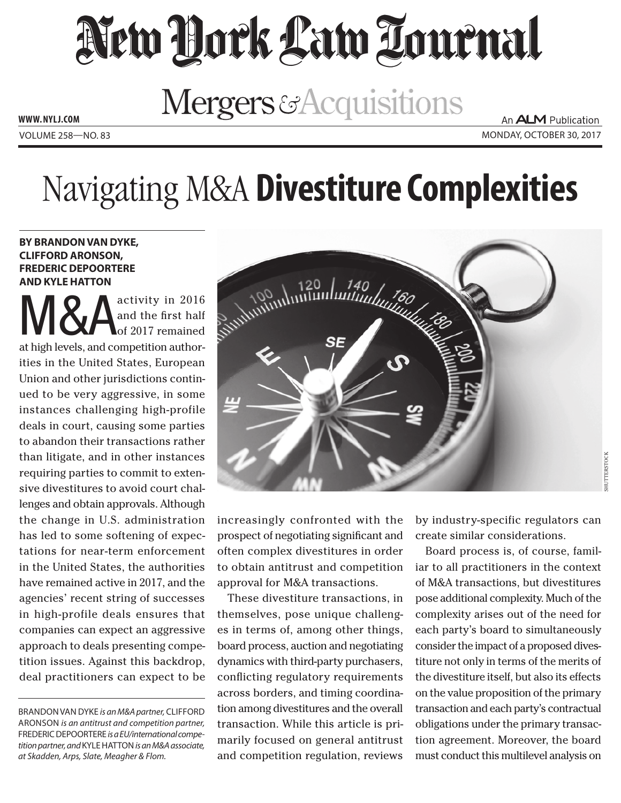## New Dock Law Louenal

Mergers & Acquisitions

An **ALM** Publication VOLUME 258—NO. 83 MONDAY, OCTOBER 30, 2017

## Navigating M&A **Divestiture Complexities**

## **By Brandon Van Dyke, Clifford Aronson, Frederic Depoortere and Kyle Hatton**

activity in 2016 and the first half of 2017 remained at high levels, and competition authorities in the United States, European Union and other jurisdictions continued to be very aggressive, in some instances challenging high-profile deals in court, causing some parties to abandon their transactions rather than litigate, and in other instances requiring parties to commit to extensive divestitures to avoid court challenges and obtain approvals. Although the change in U.S. administration has led to some softening of expectations for near-term enforcement in the United States, the authorities have remained active in 2017, and the agencies' recent string of successes in high-profile deals ensures that companies can expect an aggressive approach to deals presenting competition issues. Against this backdrop, deal practitioners can expect to be



increasingly confronted with the prospect of negotiating significant and often complex divestitures in order to obtain antitrust and competition approval for M&A transactions.

These divestiture transactions, in themselves, pose unique challenges in terms of, among other things, board process, auction and negotiating dynamics with third-party purchasers, conflicting regulatory requirements across borders, and timing coordination among divestitures and the overall transaction. While this article is primarily focused on general antitrust and competition regulation, reviews

by industry-specific regulators can create similar considerations.

SHUTTERSTOCK

HUTTERSTOCH

Board process is, of course, familiar to all practitioners in the context of M&A transactions, but divestitures pose additional complexity. Much of the complexity arises out of the need for each party's board to simultaneously consider the impact of a proposed divestiture not only in terms of the merits of the divestiture itself, but also its effects on the value proposition of the primary transaction and each party's contractual obligations under the primary transaction agreement. Moreover, the board must conduct this multilevel analysis on

Brandon Van Dyke *is an M&A partner,* Clifford Aronson *is an antitrust and competition partner,*  Frederic Depoortere *is a EU/international competition partner, and* Kyle Hatton*is an M&A associate, at Skadden, Arps, Slate, Meagher & Flom.*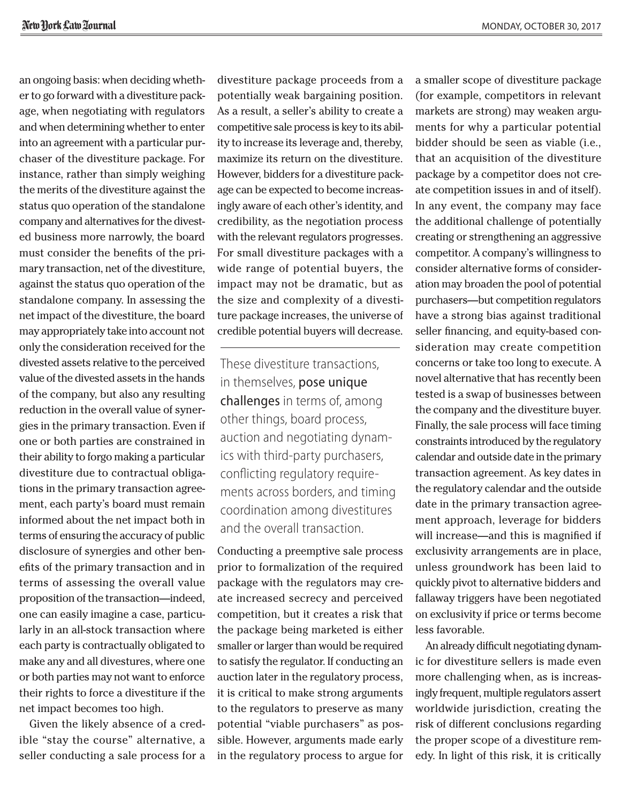an ongoing basis: when deciding whether to go forward with a divestiture package, when negotiating with regulators and when determining whether to enter into an agreement with a particular purchaser of the divestiture package. For instance, rather than simply weighing the merits of the divestiture against the status quo operation of the standalone company and alternatives for the divested business more narrowly, the board must consider the benefits of the primary transaction, net of the divestiture, against the status quo operation of the standalone company. In assessing the net impact of the divestiture, the board may appropriately take into account not only the consideration received for the divested assets relative to the perceived value of the divested assets in the hands of the company, but also any resulting reduction in the overall value of synergies in the primary transaction. Even if one or both parties are constrained in their ability to forgo making a particular divestiture due to contractual obligations in the primary transaction agreement, each party's board must remain informed about the net impact both in terms of ensuring the accuracy of public disclosure of synergies and other benefits of the primary transaction and in terms of assessing the overall value proposition of the transaction—indeed, one can easily imagine a case, particularly in an all-stock transaction where each party is contractually obligated to make any and all divestures, where one or both parties may not want to enforce their rights to force a divestiture if the net impact becomes too high.

Given the likely absence of a credible "stay the course" alternative, a seller conducting a sale process for a divestiture package proceeds from a potentially weak bargaining position. As a result, a seller's ability to create a competitive sale process is key to its ability to increase its leverage and, thereby, maximize its return on the divestiture. However, bidders for a divestiture package can be expected to become increasingly aware of each other's identity, and credibility, as the negotiation process with the relevant regulators progresses. For small divestiture packages with a wide range of potential buyers, the impact may not be dramatic, but as the size and complexity of a divestiture package increases, the universe of credible potential buyers will decrease.

These divestiture transactions, in themselves, pose unique challenges in terms of, among other things, board process, auction and negotiating dynamics with third-party purchasers, conflicting regulatory requirements across borders, and timing coordination among divestitures and the overall transaction.

Conducting a preemptive sale process prior to formalization of the required package with the regulators may create increased secrecy and perceived competition, but it creates a risk that the package being marketed is either smaller or larger than would be required to satisfy the regulator. If conducting an auction later in the regulatory process, it is critical to make strong arguments to the regulators to preserve as many potential "viable purchasers" as possible. However, arguments made early in the regulatory process to argue for a smaller scope of divestiture package (for example, competitors in relevant markets are strong) may weaken arguments for why a particular potential bidder should be seen as viable (i.e., that an acquisition of the divestiture package by a competitor does not create competition issues in and of itself). In any event, the company may face the additional challenge of potentially creating or strengthening an aggressive competitor. A company's willingness to consider alternative forms of consideration may broaden the pool of potential purchasers—but competition regulators have a strong bias against traditional seller financing, and equity-based consideration may create competition concerns or take too long to execute. A novel alternative that has recently been tested is a swap of businesses between the company and the divestiture buyer. Finally, the sale process will face timing constraints introduced by the regulatory calendar and outside date in the primary transaction agreement. As key dates in the regulatory calendar and the outside date in the primary transaction agreement approach, leverage for bidders will increase—and this is magnified if exclusivity arrangements are in place, unless groundwork has been laid to quickly pivot to alternative bidders and fallaway triggers have been negotiated on exclusivity if price or terms become less favorable.

An already difficult negotiating dynamic for divestiture sellers is made even more challenging when, as is increasingly frequent, multiple regulators assert worldwide jurisdiction, creating the risk of different conclusions regarding the proper scope of a divestiture remedy. In light of this risk, it is critically